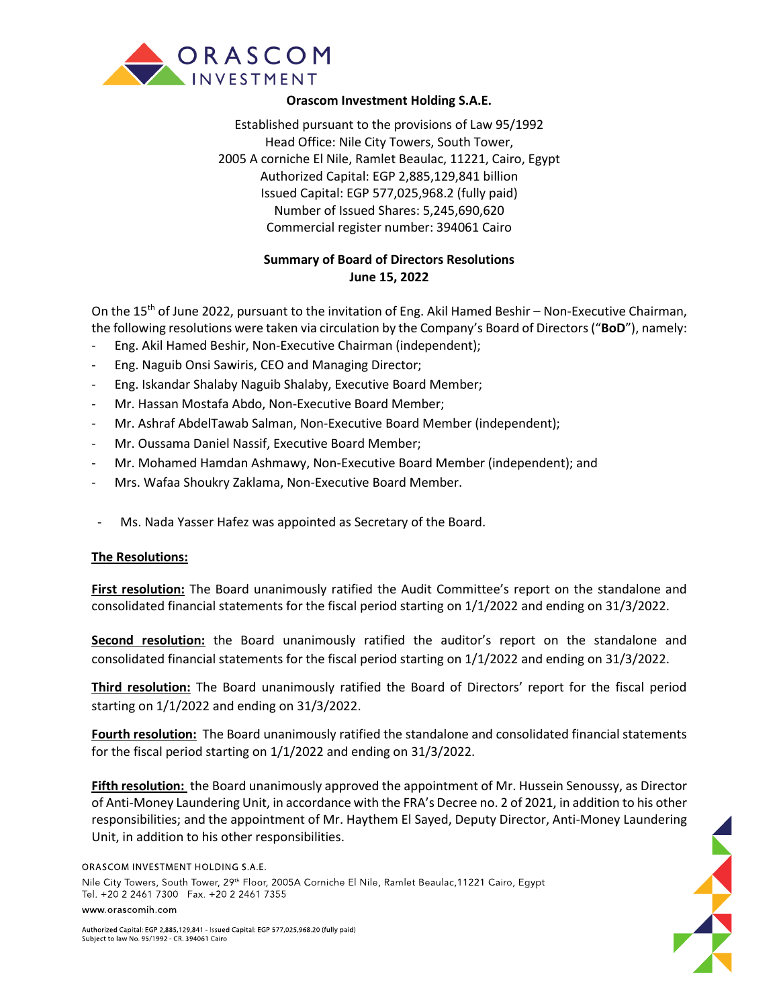

## **Orascom Investment Holding S.A.E.**

Established pursuant to the provisions of Law 95/1992 Head Office: Nile City Towers, South Tower, 2005 A corniche El Nile, Ramlet Beaulac, 11221, Cairo, Egypt Authorized Capital: EGP 2,885,129,841 billion Issued Capital: EGP 577,025,968.2 (fully paid) Number of Issued Shares: 5,245,690,620 Commercial register number: 394061 Cairo

## **Summary of Board of Directors Resolutions June 15, 2022**

On the 15<sup>th</sup> of June 2022, pursuant to the invitation of Eng. Akil Hamed Beshir – Non-Executive Chairman, the following resolutions were taken via circulation by the Company's Board of Directors ("**BoD**"), namely:

- Eng. Akil Hamed Beshir, Non-Executive Chairman (independent);
- Eng. Naguib Onsi Sawiris, CEO and Managing Director;
- Eng. Iskandar Shalaby Naguib Shalaby, Executive Board Member;
- Mr. Hassan Mostafa Abdo, Non-Executive Board Member;
- Mr. Ashraf AbdelTawab Salman, Non-Executive Board Member (independent);
- Mr. Oussama Daniel Nassif, Executive Board Member;
- Mr. Mohamed Hamdan Ashmawy, Non-Executive Board Member (independent); and
- Mrs. Wafaa Shoukry Zaklama, Non-Executive Board Member.
- Ms. Nada Yasser Hafez was appointed as Secretary of the Board.

## **The Resolutions:**

**First resolution:** The Board unanimously ratified the Audit Committee's report on the standalone and consolidated financial statements for the fiscal period starting on 1/1/2022 and ending on 31/3/2022.

**Second resolution:** the Board unanimously ratified the auditor's report on the standalone and consolidated financial statements for the fiscal period starting on 1/1/2022 and ending on 31/3/2022.

**Third resolution:** The Board unanimously ratified the Board of Directors' report for the fiscal period starting on 1/1/2022 and ending on 31/3/2022.

**Fourth resolution:** The Board unanimously ratified the standalone and consolidated financial statements for the fiscal period starting on 1/1/2022 and ending on 31/3/2022.

**Fifth resolution:** the Board unanimously approved the appointment of Mr. Hussein Senoussy, as Director of Anti-Money Laundering Unit, in accordance with the FRA's Decree no. 2 of 2021, in addition to his other responsibilities; and the appointment of Mr. Haythem El Sayed, Deputy Director, Anti-Money Laundering Unit, in addition to his other responsibilities.

ORASCOM INVESTMENT HOLDING S.A.E. Nile City Towers, South Tower, 29<sup>th</sup> Floor, 2005A Corniche El Nile, Ramlet Beaulac, 11221 Cairo, Egypt Tel. +20 2 2461 7300 Fax. +20 2 2461 7355

## www.orascomih.com

Authorized Capital: EGP 2,885,129,841 - Issued Capital: EGP 577,025,968.20 (fully paid) Subject to law No. 95/1992 - CR. 394061 Cairo